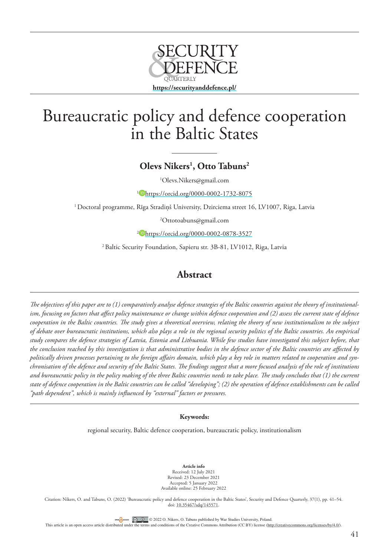

# Bureaucratic policy and defence cooperation in the Baltic States

# **Olevs Nikers1 , Otto Tabuns2**

1 Olevs.Nikers@gmail.com

<sup>1</sup> <https://orcid.org/0000-0002-1732-8075>

1 Doctoral programme, Rīga Stradiņš University, Dzirciema street 16, LV1007, Riga, Latvia

2 Ottotoabuns@gmail.com

<sup>2</sup> <https://orcid.org/0000-0002-0878-3527>

2 Baltic Security Foundation, Sapieru str. 3B-81, LV1012, Riga, Latvia

## **Abstract**

*The objectives of this paper are to (1) comparatively analyse defence strategies of the Baltic countries against the theory of institutionalism, focusing on factors that affect policy maintenance or change within defence cooperation and (2) assess the current state of defence cooperation in the Baltic countries. The study gives a theoretical overview, relating the theory of new institutionalism to the subject of debate over bureaucratic institutions, which also plays a role in the regional security politics of the Baltic countries. An empirical study compares the defence strategies of Latvia, Estonia and Lithuania. While few studies have investigated this subject before, that the conclusion reached by this investigation is that administrative bodies in the defence sector of the Baltic countries are affected by politically driven processes pertaining to the foreign affairs domain, which play a key role in matters related to cooperation and synchronisation of the defence and security of the Baltic States. The findings suggest that a more focused analysis of the role of institutions and bureaucratic policy in the policy making of the three Baltic countries needs to take place. The study concludes that (1) the current state of defence cooperation in the Baltic countries can be called "developing"; (2) the operation of defence establishments can be called "path dependent", which is mainly influenced by "external" factors or pressures.*

### **Keywords:**

regional security, Baltic defence cooperation, bureaucratic policy, institutionalism

**Article info** Received: 12 July 2021 Revised: 23 December 2021 Accepted: 5 January 2022 Available online: 25 February 2022

Citation: Nikers, O. and Tabuns, O. (2022) 'Bureaucratic policy and defence cooperation in the Baltic States', Security and Defence Quarterly, 37(1), pp. 41–54. doi: [10.35467/sdq/145571.](http://doi.org/10.35467/sdq/145571)

OFENCIACCESS CO <sup>O</sup> © 2022 O. Nikers, O. Tabuns published by War Studies University, Poland.

This article is an open access article distributed under the terms and conditions of the Creative Commons Attribution (CC BY) license [\(http://creativecommons.org/licenses/by/4.0/](http://creativecommons.org/licenses/by/4.0/)).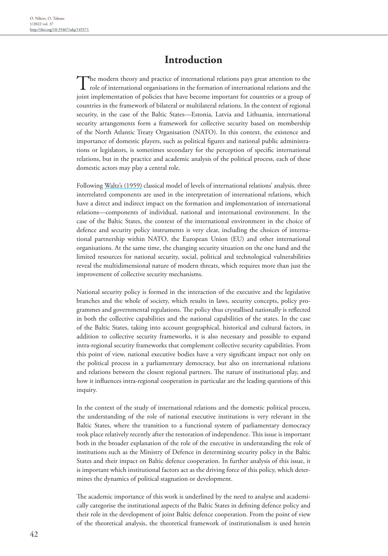# **Introduction**

The modern theory and practice of international relations pays great attention to the role of international organisations in the formation of international relations and the joint implementation of policies that have become important for countries or a group of countries in the framework of bilateral or multilateral relations. In the context of regional security, in the case of the Baltic States—Estonia, Latvia and Lithuania, international security arrangements form a framework for collective security based on membership of the North Atlantic Treaty Organisation (NATO). In this context, the existence and importance of domestic players, such as political figures and national public administrations or legislators, is sometimes secondary for the perception of specific international relations, but in the practice and academic analysis of the political process, each of these domestic actors may play a central role.

Following [Waltz's \(1959\)](#page-13-0) classical model of levels of international relations' analysis, three interrelated components are used in the interpretation of international relations, which have a direct and indirect impact on the formation and implementation of international relations—components of individual, national and international environment. In the case of the Baltic States, the context of the international environment in the choice of defence and security policy instruments is very clear, including the choices of international partnership within NATO, the European Union (EU) and other international organisations. At the same time, the changing security situation on the one hand and the limited resources for national security, social, political and technological vulnerabilities reveal the multidimensional nature of modern threats, which requires more than just the improvement of collective security mechanisms.

National security policy is formed in the interaction of the executive and the legislative branches and the whole of society, which results in laws, security concepts, policy programmes and governmental regulations. The policy thus crystallised nationally is reflected in both the collective capabilities and the national capabilities of the states. In the case of the Baltic States, taking into account geographical, historical and cultural factors, in addition to collective security frameworks, it is also necessary and possible to expand intra-regional security frameworks that complement collective security capabilities. From this point of view, national executive bodies have a very significant impact not only on the political process in a parliamentary democracy, but also on international relations and relations between the closest regional partners. The nature of institutional play, and how it influences intra-regional cooperation in particular are the leading questions of this inquiry.

In the context of the study of international relations and the domestic political process, the understanding of the role of national executive institutions is very relevant in the Baltic States, where the transition to a functional system of parliamentary democracy took place relatively recently after the restoration of independence. This issue is important both in the broader explanation of the role of the executive in understanding the role of institutions such as the Ministry of Defence in determining security policy in the Baltic States and their impact on Baltic defence cooperation. In further analysis of this issue, it is important which institutional factors act as the driving force of this policy, which determines the dynamics of political stagnation or development.

The academic importance of this work is underlined by the need to analyse and academically categorise the institutional aspects of the Baltic States in defining defence policy and their role in the development of joint Baltic defence cooperation. From the point of view of the theoretical analysis, the theoretical framework of institutionalism is used herein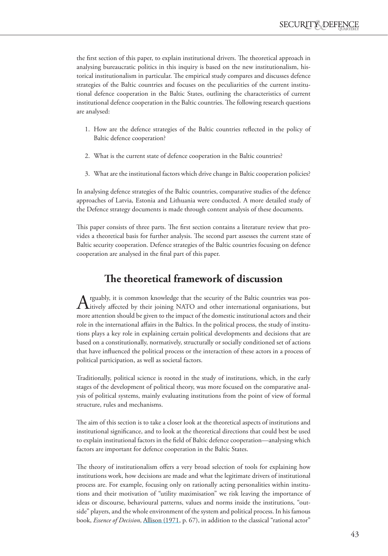the first section of this paper, to explain institutional drivers. The theoretical approach in analysing bureaucratic politics in this inquiry is based on the new institutionalism, historical institutionalism in particular. The empirical study compares and discusses defence strategies of the Baltic countries and focuses on the peculiarities of the current institutional defence cooperation in the Baltic States, outlining the characteristics of current institutional defence cooperation in the Baltic countries. The following research questions are analysed:

- 1. How are the defence strategies of the Baltic countries reflected in the policy of Baltic defence cooperation?
- 2. What is the current state of defence cooperation in the Baltic countries?
- 3. What are the institutional factors which drive change in Baltic cooperation policies?

In analysing defence strategies of the Baltic countries, comparative studies of the defence approaches of Latvia, Estonia and Lithuania were conducted. A more detailed study of the Defence strategy documents is made through content analysis of these documents.

This paper consists of three parts. The first section contains a literature review that provides a theoretical basis for further analysis. The second part assesses the current state of Baltic security cooperation. Defence strategies of the Baltic countries focusing on defence cooperation are analysed in the final part of this paper.

# **The theoretical framework of discussion**

Arguably, it is common knowledge that the security of the Baltic countries was pos-itively affected by their joining NATO and other international organisations, but more attention should be given to the impact of the domestic institutional actors and their role in the international affairs in the Baltics. In the political process, the study of institutions plays a key role in explaining certain political developments and decisions that are based on a constitutionally, normatively, structurally or socially conditioned set of actions that have influenced the political process or the interaction of these actors in a process of political participation, as well as societal factors.

Traditionally, political science is rooted in the study of institutions, which, in the early stages of the development of political theory, was more focused on the comparative analysis of political systems, mainly evaluating institutions from the point of view of formal structure, rules and mechanisms.

The aim of this section is to take a closer look at the theoretical aspects of institutions and institutional significance, and to look at the theoretical directions that could best be used to explain institutional factors in the field of Baltic defence cooperation—analysing which factors are important for defence cooperation in the Baltic States.

The theory of institutionalism offers a very broad selection of tools for explaining how institutions work, how decisions are made and what the legitimate drivers of institutional process are. For example, focusing only on rationally acting personalities within institutions and their motivation of "utility maximisation" we risk leaving the importance of ideas or discourse, behavioural patterns, values and norms inside the institutions, "outside" players, and the whole environment of the system and political process. In his famous book, *Essence of Decision*, [Allison \(1971,](#page-11-0) p. 67), in addition to the classical "rational actor"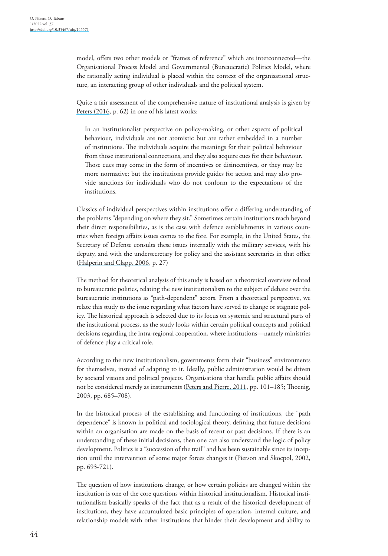model, offers two other models or "frames of reference" which are interconnected—the Organisational Process Model and Governmental (Bureaucratic) Politics Model, where the rationally acting individual is placed within the context of the organisational structure, an interacting group of other individuals and the political system.

Quite a fair assessment of the comprehensive nature of institutional analysis is given by [Peters \(2016](#page-13-1), p. 62) in one of his latest works:

In an institutionalist perspective on policy-making, or other aspects of political behaviour, individuals are not atomistic but are rather embedded in a number of institutions. The individuals acquire the meanings for their political behaviour from those institutional connections, and they also acquire cues for their behaviour. Those cues may come in the form of incentives or disincentives, or they may be more normative; but the institutions provide guides for action and may also provide sanctions for individuals who do not conform to the expectations of the institutions.

Classics of individual perspectives within institutions offer a differing understanding of the problems "depending on where they sit." Sometimes certain institutions reach beyond their direct responsibilities, as is the case with defence establishments in various countries when foreign affairs issues comes to the fore. For example, in the United States, the Secretary of Defense consults these issues internally with the military services, with his deputy, and with the undersecretary for policy and the assistant secretaries in that office [\(Halperin and Clapp, 2006,](#page-12-0) p. 27)

The method for theoretical analysis of this study is based on a theoretical overview related to bureaucratic politics, relating the new institutionalism to the subject of debate over the bureaucratic institutions as "path-dependent" actors. From a theoretical perspective, we relate this study to the issue regarding what factors have served to change or stagnate policy. The historical approach is selected due to its focus on systemic and structural parts of the institutional process, as the study looks within certain political concepts and political decisions regarding the intra-regional cooperation, where institutions—namely ministries of defence play a critical role.

According to the new institutionalism, governments form their "business" environments for themselves, instead of adapting to it. Ideally, public administration would be driven by societal visions and political projects. Organisations that handle public affairs should not be considered merely as instruments ([Peters and Pierre, 2011](#page-13-2), pp. 101–185; Thoenig, 2003, pp. 685–708).

In the historical process of the establishing and functioning of institutions, the "path dependence" is known in political and sociological theory, defining that future decisions within an organisation are made on the basis of recent or past decisions. If there is an understanding of these initial decisions, then one can also understand the logic of policy development. Politics is a "succession of the trail" and has been sustainable since its inception until the intervention of some major forces changes it [\(Pierson and Skocpol, 2002](#page-13-3), pp. 693-721).

The question of how institutions change, or how certain policies are changed within the institution is one of the core questions within historical institutionalism. Historical institutionalism basically speaks of the fact that as a result of the historical development of institutions, they have accumulated basic principles of operation, internal culture, and relationship models with other institutions that hinder their development and ability to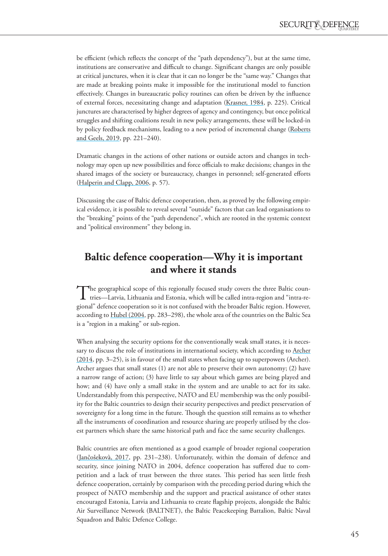be efficient (which reflects the concept of the "path dependency"), but at the same time, institutions are conservative and difficult to change. Significant changes are only possible at critical junctures, when it is clear that it can no longer be the "same way." Changes that are made at breaking points make it impossible for the institutional model to function effectively. Changes in bureaucratic policy routines can often be driven by the influence of external forces, necessitating change and adaptation [\(Krasner, 1984](#page-12-1), p. 225). Critical junctures are characterised by higher degrees of agency and contingency, but once political struggles and shifting coalitions result in new policy arrangements, these will be locked-in by policy feedback mechanisms, leading to a new period of incremental change [\(Roberts](#page-13-4)  [and Geels, 2019,](#page-13-4) pp. 221–240).

Dramatic changes in the actions of other nations or outside actors and changes in technology may open up new possibilities and force officials to make decisions; changes in the shared images of the society or bureaucracy, changes in personnel; self-generated efforts [\(Halperin and Clapp, 2006,](#page-12-0) p. 57).

Discussing the case of Baltic defence cooperation, then, as proved by the following empirical evidence, it is possible to reveal several "outside" factors that can lead organisations to the "breaking" points of the "path dependence", which are rooted in the systemic context and "political environment" they belong in.

# **Baltic defence cooperation—Why it is important and where it stands**

The geographical scope of this regionally focused study covers the three Baltic coun-<br>tries—Latvia, Lithuania and Estonia, which will be called intra-region and "intra-re-<br>" gional" defence cooperation so it is not confused with the broader Baltic region. However, according to [Hubel \(2004,](#page-12-2) pp. 283-298), the whole area of the countries on the Baltic Sea is a "region in a making" or sub-region.

When analysing the security options for the conventionally weak small states, it is necessary to discuss the role of institutions in international society, which according to Archer [\(2014](#page-7-0), pp. 3–25), is in favour of the small states when facing up to superpowers (Archer). Archer argues that small states (1) are not able to preserve their own autonomy; (2) have a narrow range of action; (3) have little to say about which games are being played and how; and (4) have only a small stake in the system and are unable to act for its sake. Understandably from this perspective, NATO and EU membership was the only possibility for the Baltic countries to design their security perspectives and predict preservation of sovereignty for a long time in the future. Though the question still remains as to whether all the instruments of coordination and resource sharing are properly utilised by the closest partners which share the same historical path and face the same security challenges.

Baltic countries are often mentioned as a good example of broader regional cooperation (Jančošekovà, 2017, pp. 231–238). Unfortunately, within the domain of defence and security, since joining NATO in 2004, defence cooperation has suffered due to competition and a lack of trust between the three states. This period has seen little fresh defence cooperation, certainly by comparison with the preceding period during which the prospect of NATO membership and the support and practical assistance of other states encouraged Estonia, Latvia and Lithuania to create flagship projects, alongside the Baltic Air Surveillance Network (BALTNET), the Baltic Peacekeeping Battalion, Baltic Naval Squadron and Baltic Defence College.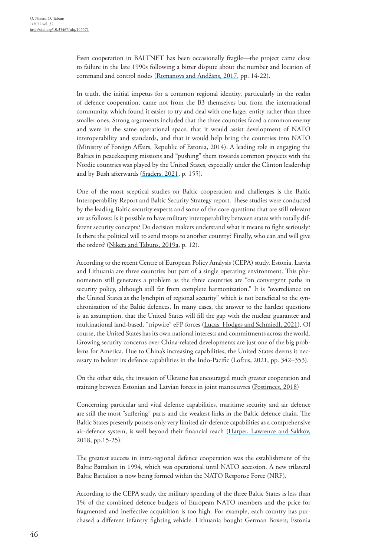Even cooperation in BALTNET has been occasionally fragile—the project came close to failure in the late 1990s following a bitter dispute about the number and location of command and control nodes (Romanovs and Andžāns, 2017, pp. 14-22).

In truth, the initial impetus for a common regional identity, particularly in the realm of defence cooperation, came not from the B3 themselves but from the international community, which found it easier to try and deal with one larger entity rather than three smaller ones. Strong arguments included that the three countries faced a common enemy and were in the same operational space, that it would assist development of NATO interoperability and standards, and that it would help bring the countries into NATO [\(Ministry of Foreign Affairs, Republic of Estonia, 2014\)](#page-12-3). A leading role in engaging the Baltics in peacekeeping missions and "pushing" them towards common projects with the Nordic countries was played by the United States, especially under the Clinton leadership and by Bush afterwards ([Sraders, 2021,](#page-13-5) p. 155).

One of the most sceptical studies on Baltic cooperation and challenges is the Baltic Interoperability Report and Baltic Security Strategy report. These studies were conducted by the leading Baltic security experts and some of the core questions that are still relevant are as follows: Is it possible to have military interoperability between states with totally different security concepts? Do decision makers understand what it means to fight seriously? Is there the political will to send troops to another country? Finally, who can and will give the orders? [\(Nikers and Tabuns, 2019a,](#page-12-4) p. 12).

According to the recent Centre of European Policy Analysis (CEPA) study, Estonia, Latvia and Lithuania are three countries but part of a single operating environment. This phenomenon still generates a problem as the three countries are "on convergent paths in security policy, although still far from complete harmonization." It is "overreliance on the United States as the lynchpin of regional security" which is not beneficial to the synchronisation of the Baltic defences. In many cases, the answer to the hardest questions is an assumption, that the United States will fill the gap with the nuclear guarantee and multinational land-based, "tripwire" eFP forces [\(Lucas, Hodges and Schmiedl, 2021](#page-12-5)). Of course, the United States has its own national interests and commitments across the world. Growing security concerns over China-related developments are just one of the big problems for America. Due to China's increasing capabilities, the United States deems it necessary to bolster its defence capabilities in the Indo-Pacific ([Loftus, 2021,](#page-12-6) pp. 342–353).

On the other side, the invasion of Ukraine has encouraged much greater cooperation and training between Estonian and Latvian forces in joint manoeuvres [\(Postimees, 2018](#page-13-6))

Concerning particular and vital defence capabilities, maritime security and air defence are still the most "suffering" parts and the weakest links in the Baltic defence chain. The Baltic States presently possess only very limited air-defence capabilities as a comprehensive air-defence system, is well beyond their financial reach (Harper, Lawrence and Sakkov, [2018, pp.15-25\)](#page-12-7).

The greatest success in intra-regional defence cooperation was the establishment of the Baltic Battalion in 1994, which was operational until NATO accession. A new trilateral Baltic Battalion is now being formed within the NATO Response Force (NRF).

According to the CEPA study, the military spending of the three Baltic States is less than 1% of the combined defence budgets of European NATO members and the price for fragmented and ineffective acquisition is too high. For example, each country has purchased a different infantry fighting vehicle. Lithuania bought German Boxers; Estonia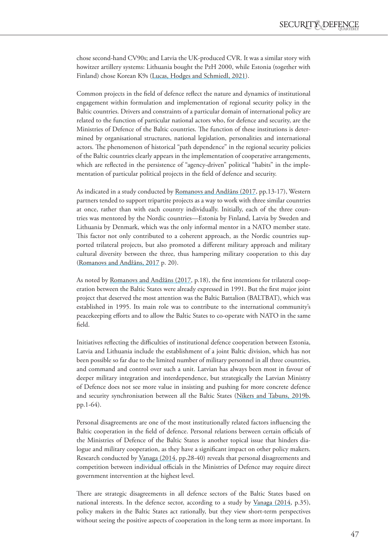chose second-hand CV90s; and Latvia the UK-produced CVR. It was a similar story with howitzer artillery systems: Lithuania bought the PzH 2000, while Estonia (together with Finland) chose Korean K9s [\(Lucas, Hodges and Schmiedl, 2021\)](#page-12-5).

Common projects in the field of defence reflect the nature and dynamics of institutional engagement within formulation and implementation of regional security policy in the Baltic countries. Drivers and constraints of a particular domain of international policy are related to the function of particular national actors who, for defence and security, are the Ministries of Defence of the Baltic countries. The function of these institutions is determined by organisational structures, national legislation, personalities and international actors. The phenomenon of historical "path dependence" in the regional security policies of the Baltic countries clearly appears in the implementation of cooperative arrangements, which are reflected in the persistence of "agency-driven" political "habits" in the implementation of particular political projects in the field of defence and security.

As indicated in a study conducted by Romanovs and Andžāns (2017, pp.13-17), Western partners tended to support tripartite projects as a way to work with three similar countries at once, rather than with each country individually. Initially, each of the three countries was mentored by the Nordic countries—Estonia by Finland, Latvia by Sweden and Lithuania by Denmark, which was the only informal mentor in a NATO member state. This factor not only contributed to a coherent approach, as the Nordic countries supported trilateral projects, but also promoted a different military approach and military cultural diversity between the three, thus hampering military cooperation to this day (Romanovs and Andžāns, 2017 p. 20).

As noted by Romanovs and Andžāns (2017, p.18), the first intentions for trilateral cooperation between the Baltic States were already expressed in 1991. But the first major joint project that deserved the most attention was the Baltic Battalion (BALTBAT), which was established in 1995. Its main role was to contribute to the international community's peacekeeping efforts and to allow the Baltic States to co-operate with NATO in the same field.

Initiatives reflecting the difficulties of institutional defence cooperation between Estonia, Latvia and Lithuania include the establishment of a joint Baltic division, which has not been possible so far due to the limited number of military personnel in all three countries, and command and control over such a unit. Latvian has always been most in favour of deeper military integration and interdependence, but strategically the Latvian Ministry of Defence does not see more value in insisting and pushing for more concrete defence and security synchronisation between all the Baltic States ([Nikers and Tabuns, 2019b](#page-12-4), pp.1-64).

Personal disagreements are one of the most institutionally related factors influencing the Baltic cooperation in the field of defence. Personal relations between certain officials of the Ministries of Defence of the Baltic States is another topical issue that hinders dialogue and military cooperation, as they have a significant impact on other policy makers. Research conducted by [Vanaga \(2014](#page-13-7), pp.28-40) reveals that personal disagreements and competition between individual officials in the Ministries of Defence may require direct government intervention at the highest level.

There are strategic disagreements in all defence sectors of the Baltic States based on national interests. In the defence sector, according to a study by [Vanaga \(2014,](#page-13-7) p.35), policy makers in the Baltic States act rationally, but they view short-term perspectives without seeing the positive aspects of cooperation in the long term as more important. In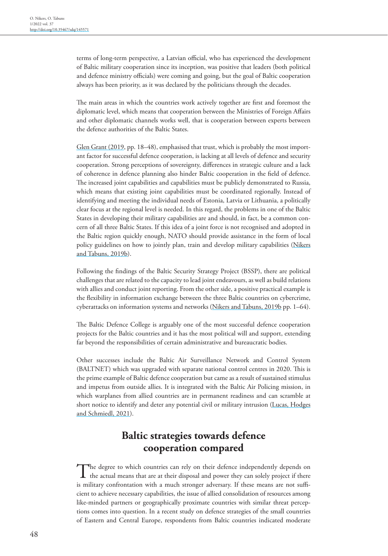terms of long-term perspective, a Latvian official, who has experienced the development of Baltic military cooperation since its inception, was positive that leaders (both political and defence ministry officials) were coming and going, but the goal of Baltic cooperation always has been priority, as it was declared by the politicians through the decades.

The main areas in which the countries work actively together are first and foremost the diplomatic level, which means that cooperation between the Ministries of Foreign Affairs and other diplomatic channels works well, that is cooperation between experts between the defence authorities of the Baltic States.

[Glen Grant \(2019](#page-12-8), pp. 18–48), emphasised that trust, which is probably the most important factor for successful defence cooperation, is lacking at all levels of defence and security cooperation. Strong perceptions of sovereignty, differences in strategic culture and a lack of coherence in defence planning also hinder Baltic cooperation in the field of defence. The increased joint capabilities and capabilities must be publicly demonstrated to Russia, which means that existing joint capabilities must be coordinated regionally. Instead of identifying and meeting the individual needs of Estonia, Latvia or Lithuania, a politically clear focus at the regional level is needed. In this regard, the problems in one of the Baltic States in developing their military capabilities are and should, in fact, be a common concern of all three Baltic States. If this idea of a joint force is not recognised and adopted in the Baltic region quickly enough, NATO should provide assistance in the form of local policy guidelines on how to jointly plan, train and develop military capabilities [\(Nikers](#page-12-9)  [and Tabuns, 2019b\)](#page-12-9).

<span id="page-7-0"></span>Following the findings of the Baltic Security Strategy Project (BSSP), there are political challenges that are related to the capacity to lead joint endeavours, as well as build relations with allies and conduct joint reporting. From the other side, a positive practical example is the flexibility in information exchange between the three Baltic countries on cybercrime, cyberattacks on information systems and networks [\(Nikers and Tabuns, 2019b](#page-12-4) pp. 1–64).

The Baltic Defence College is arguably one of the most successful defence cooperation projects for the Baltic countries and it has the most political will and support, extending far beyond the responsibilities of certain administrative and bureaucratic bodies.

Other successes include the Baltic Air Surveillance Network and Control System (BALTNET) which was upgraded with separate national control centres in 2020. This is the prime example of Baltic defence cooperation but came as a result of sustained stimulus and impetus from outside allies. It is integrated with the Baltic Air Policing mission, in which warplanes from allied countries are in permanent readiness and can scramble at short notice to identify and deter any potential civil or military intrusion (Lucas, Hodges [and Schmiedl, 2021\)](#page-12-5).

# **Baltic strategies towards defence cooperation compared**

The degree to which countries can rely on their defence independently depends on the actual means that are at their disposal and power they can solely project if there is military confrontation with a much stronger adversary. If these means are not sufficient to achieve necessary capabilities, the issue of allied consolidation of resources among like-minded partners or geographically proximate countries with similar threat perceptions comes into question. In a recent study on defence strategies of the small countries of Eastern and Central Europe, respondents from Baltic countries indicated moderate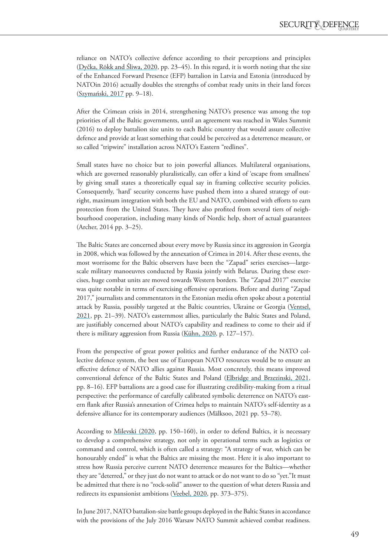reliance on NATO's collective defence according to their perceptions and principles (Dyčka, Rõkk and Śliwa, 2020, pp. 23–45). In this regard, it is worth noting that the size of the Enhanced Forward Presence (EFP) battalion in Latvia and Estonia (introduced by NATOin 2016) actually doubles the strengths of combat ready units in their land forces (Szymański, 2017 pp. 9–18).

After the Crimean crisis in 2014, strengthening NATO's presence was among the top priorities of all the Baltic governments, until an agreement was reached in Wales Summit (2016) to deploy battalion size units to each Baltic country that would assure collective defence and provide at least something that could be perceived as a deterrence measure, or so called "tripwire" installation across NATO's Eastern "redlines".

Small states have no choice but to join powerful alliances. Multilateral organisations, which are governed reasonably pluralistically, can offer a kind of 'escape from smallness' by giving small states a theoretically equal say in framing collective security policies. Consequently, 'hard' security concerns have pushed them into a shared strategy of outright, maximum integration with both the EU and NATO, combined with efforts to earn protection from the United States. They have also profited from several tiers of neighbourhood cooperation, including many kinds of Nordic help, short of actual guarantees (Archer, 2014 pp. 3–25).

The Baltic States are concerned about every move by Russia since its aggression in Georgia in 2008, which was followed by the annexation of Crimea in 2014. After these events, the most worrisome for the Baltic observers have been the "Zapad" series exercises—largescale military manoeuvres conducted by Russia jointly with Belarus. During these exercises, huge combat units are moved towards Western borders. The "Zapad 2017" exercise was quite notable in terms of exercising offensive operations. Before and during "Zapad 2017," journalists and commentators in the Estonian media often spoke about a potential attack by Russia, possibly targeted at the Baltic countries, Ukraine or Georgia ([Ventsel,](#page-13-8)  [2021,](#page-13-8) pp. 21–39). NATO's easternmost allies, particularly the Baltic States and Poland, are justifiably concerned about NATO's capability and readiness to come to their aid if there is military aggression from Russia (Kühn, 2020, p. 127–157).

From the perspective of great power politics and further endurance of the NATO collective defence system, the best use of European NATO resources would be to ensure an effective defence of NATO allies against Russia. Most concretely, this means improved conventional defence of the Baltic States and Poland ([Elbridge and Brzezinski, 2021](#page-11-1), pp. 8–16). EFP battalions are a good case for illustrating credibility-making from a ritual perspective: the performance of carefully calibrated symbolic deterrence on NATO's eastern flank after Russia's annexation of Crimea helps to maintain NATO's self-identity as a defensive alliance for its contemporary audiences (Mälksoo, 2021 pp. 53–78).

According to [Milevski \(2020](#page-12-10), pp. 150–160), in order to defend Baltics, it is necessary to develop a comprehensive strategy, not only in operational terms such as logistics or command and control, which is often called a strategy: "A strategy of war, which can be honourably ended" is what the Baltics are missing the most. Here it is also important to stress how Russia perceive current NATO deterrence measures for the Baltics—whether they are "deterred," or they just do not want to attack or do not want to do so "yet."It must be admitted that there is no "rock-solid" answer to the question of what deters Russia and redirects its expansionist ambitions [\(Veebel, 2020](#page-13-9), pp. 373–375).

In June 2017, NATO battalion-size battle groups deployed in the Baltic States in accordance with the provisions of the July 2016 Warsaw NATO Summit achieved combat readiness.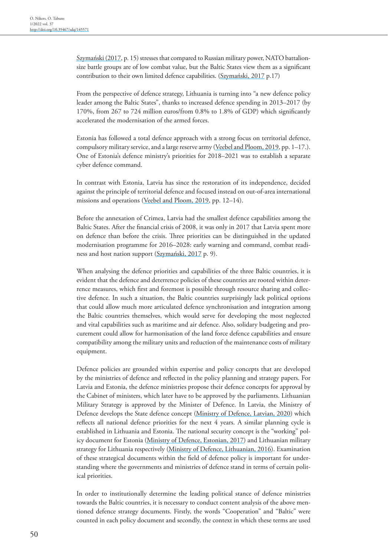Szymański (2017, p. 15) stresses that compared to Russian military power, NATO battalionsize battle groups are of low combat value, but the Baltic States view them as a significant contribution to their own limited defence capabilities. (Szymański, 2017 p.17)

From the perspective of defence strategy, Lithuania is turning into "a new defence policy leader among the Baltic States", thanks to increased defence spending in 2013–2017 (by 170%, from 267 to 724 million euros/from 0.8% to 1.8% of GDP) which significantly accelerated the modernisation of the armed forces.

Estonia has followed a total defence approach with a strong focus on territorial defence, compulsory military service, and a large reserve army ([Veebel and Ploom, 2019](#page-13-9), pp. 1–17.). One of Estonia's defence ministry's priorities for 2018–2021 was to establish a separate cyber defence command.

In contrast with Estonia, Latvia has since the restoration of its independence, decided against the principle of territorial defence and focused instead on out-of-area international missions and operations [\(Veebel and Ploom, 2019](#page-13-9), pp. 12–14).

Before the annexation of Crimea, Latvia had the smallest defence capabilities among the Baltic States. After the financial crisis of 2008, it was only in 2017 that Latvia spent more on defence than before the crisis. Three priorities can be distinguished in the updated modernisation programme for 2016–2028: early warning and command, combat readiness and host nation support (Szymański, 2017 p. 9).

When analysing the defence priorities and capabilities of the three Baltic countries, it is evident that the defence and deterrence policies of these countries are rooted within deterrence measures, which first and foremost is possible through resource sharing and collective defence. In such a situation, the Baltic countries surprisingly lack political options that could allow much more articulated defence synchronisation and integration among the Baltic countries themselves, which would serve for developing the most neglected and vital capabilities such as maritime and air defence. Also, solidary budgeting and procurement could allow for harmonisation of the land force defence capabilities and ensure compatibility among the military units and reduction of the maintenance costs of military equipment.

Defence policies are grounded within expertise and policy concepts that are developed by the ministries of defence and reflected in the policy planning and strategy papers. For Latvia and Estonia, the defence ministries propose their defence concepts for approval by the Cabinet of ministers, which later have to be approved by the parliaments. Lithuanian Military Strategy is approved by the Minister of Defence. In Latvia, the Ministry of Defence develops the State defence concept ([Ministry of Defence, Latvian, 2020\)](#page-12-11) which reflects all national defence priorities for the next 4 years. A similar planning cycle is established in Lithuania and Estonia. The national security concept is the "working" pol-icy document for Estonia ([Ministry of Defence, Estonian, 2017](#page-12-3)) and Lithuanian military strategy for Lithuania respectively [\(Ministry of Defence, Lithuanian, 2016](#page-12-12)). Examination of these strategical documents within the field of defence policy is important for understanding where the governments and ministries of defence stand in terms of certain political priorities.

In order to institutionally determine the leading political stance of defence ministries towards the Baltic countries, it is necessary to conduct content analysis of the above mentioned defence strategy documents. Firstly, the words "Cooperation" and "Baltic" were counted in each policy document and secondly, the context in which these terms are used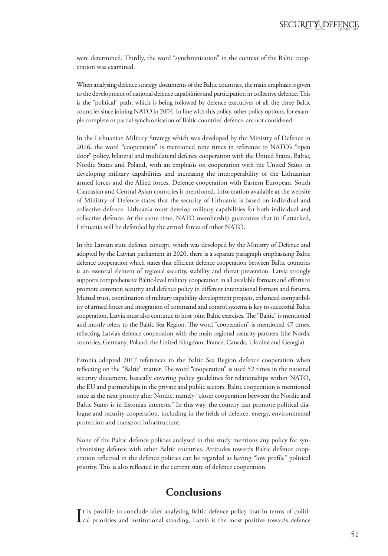were determined. Thirdly, the word "synchronisation" in the context of the Baltic cooperation was examined.

When analysing defence strategy documents of the Baltic countries, the main emphasis is given to the development of national defence capabilities and participation in collective defence. This is the "political" path, which is being followed by defence executives of all the three Baltic countries since joining NATO in 2004. In line with this policy, other policy options, for example complete or partial synchronisation of Baltic countries' defence, are not considered.

In the Lithuanian Military Strategy which was developed by the Ministry of Defence in 2016, the word "cooperation" is mentioned nine times in reference to NATO's "open door" policy, bilateral and multilateral defence cooperation with the United States, Baltic, Nordic States and Poland, with an emphasis on cooperation with the United States in developing military capabilities and increasing the interoperability of the Lithuanian armed forces and the Allied forces. Defence cooperation with Eastern European, South Caucasian and Central Asian countries is mentioned. Information available at the website of Ministry of Defence states that the security of Lithuania is based on individual and collective defence. Lithuania must develop military capabilities for both individual and collective defence. At the same time, NATO membership guarantees that in if attacked, Lithuania will be defended by the armed forces of other NATO.

In the Latvian state defence concept, which was developed by the Ministry of Defence and adopted by the Latvian parliament in 2020, there is a separate paragraph emphasising Baltic defence cooperation which states that efficient defence cooperation between Baltic countries is an essential element of regional security, stability and threat prevention. Latvia strongly supports comprehensive Baltic-level military cooperation in all available formats and efforts to promote common security and defence policy in different international formats and forums. Mutual trust, coordination of military capability development projects, enhanced compatibility of armed forces and integration of command and control systems is key to successful Baltic cooperation. Latvia must also continue to host joint Baltic exercises. The "Baltic" is mentioned and mostly refers to the Baltic Sea Region. The word "cooperation" is mentioned 47 times, reflecting Latvia's defence cooperation with the main regional security partners (the Nordic countries, Germany, Poland, the United Kingdom, France, Canada, Ukraine and Georgia).

Estonia adopted 2017 references to the Baltic Sea Region defence cooperation when reflecting on the "Baltic" matter. The word "cooperation" is used 52 times in the national security document, basically covering policy guidelines for relationships within NATO, the EU and partnerships in the private and public sectors. Baltic cooperation is mentioned once as the next priority after Nordic, namely "closer cooperation between the Nordic and Baltic States is in Estonia's interests." In this way, the country can promote political dialogue and security cooperation, including in the fields of defence, energy, environmental protection and transport infrastructure.

None of the Baltic defence policies analysed in this study mentions any policy for synchronising defence with other Baltic countries. Attitudes towards Baltic defence cooperation reflected in the defence policies can be regarded as having "low profile" political priority. This is also reflected in the current state of defence cooperation.

### **Conclusions**

It is possible to conclude after analysing Baltic defence policy that in terms of political priorities and institutional standing, Latvia is the most positive towards defence t is possible to conclude after analysing Baltic defence policy that in terms of politi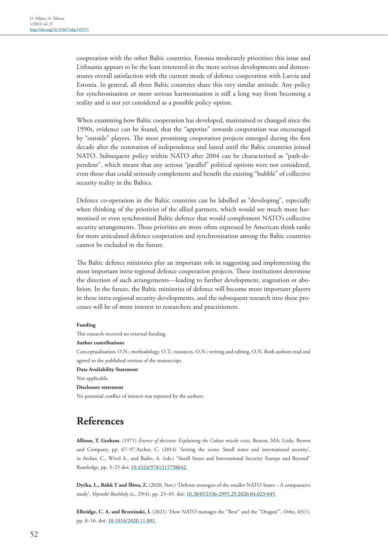cooperation with the other Baltic countries. Estonia moderately prioritises this issue and Lithuania appears to be the least interested in the more serious developments and demonstrates overall satisfaction with the current mode of defence cooperation with Latvia and Estonia. In general, all three Baltic countries share this very similar attitude. Any policy for synchronisation or more serious harmonisation is still a long way from becoming a reality and is not yet considered as a possible policy option.

When examining how Baltic cooperation has developed, maintained or changed since the 1990s, evidence can be found, that the "appetite" towards cooperation was encouraged by "outside" players. The most promising cooperation projects emerged during the first decade after the restoration of independence and lasted until the Baltic countries joined NATO. Subsequent policy within NATO after 2004 can be characterised as "path-dependent", which meant that any serious "parallel" political options were not considered, even those that could seriously complement and benefit the existing "bubble" of collective security reality in the Baltics.

Defence co-operation in the Baltic countries can be labelled as "developing", especially when thinking of the priorities of the allied partners, which would see much more harmonised or even synchronised Baltic defence that would complement NATO's collective security arrangements. These priorities are more often expressed by American think tanks for more articulated defence cooperation and synchronisation among the Baltic countries cannot be excluded in the future.

The Baltic defence ministries play an important role in suggesting and implementing the most important intra-regional defence cooperation projects. These institutions determine the direction of such arrangements—leading to further development, stagnation or abolition. In the future, the Baltic ministries of defence will become more important players in these intra-regional security developments, and the subsequent research into these processes will be of more interest to researchers and practitioners.

#### **Funding**

This research received no external funding.

### **Author contributions**

Conceptualisation, O.N.; methodology, O.T.; resources, O.N.; writing and editing, O.N. Both authors read and agreed to the published version of the manuscript.

**Data Availability Statement**

Not applicable.

### **Disclosure statement**

No potential conflict of interest was reported by the authors.

# **References**

<span id="page-11-0"></span>**Allison, T. Graham.** (1971) *Essence of decision: Explaining the Cuban missile crisis*. Boston, MA: Little, Brown and Company, pp. 67–97.Archer, C. (2014) 'Setting the scene: Small states and international security', in Archer, C., Wivel A., and Bailes, A. (eds.) "Small States and International Security. Europe and Beyond" Routledge, pp. 3–25 doi: [10.4324/9781315798042](http://doi.org/10.4324/9781315798042).

**Dyčka, L., Rõkk T and Śliwa, Z.** (2020, Nov.) 'Defense strategies of the smaller NATO States – A comparative study', *Vojenské Rozhledy čz*., 29(4), pp. 23–45. doi: [10.3849/2336-2995.29.2020.04.023-045](http://doi.org/10.3849/2336-2995.29.2020.04.023-045).

<span id="page-11-1"></span>Elbridge, C. A. and Brzezinski, I. (2021) 'How NATO manages the "Bear" and the "Dragon"', *Orbis*, 65(1), pp. 8–16. doi: [10.1016/2020.11.001.](http://doi.org/10.1016/2020.11.001)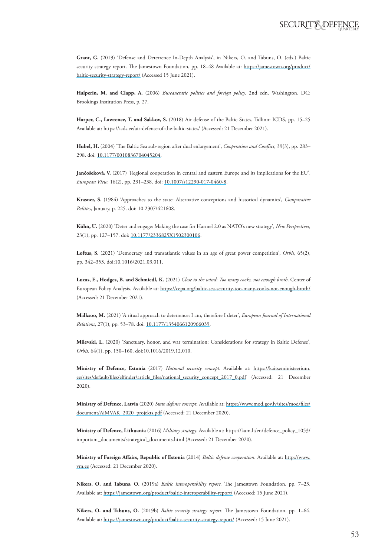<span id="page-12-8"></span>**Grant, G.** (2019) 'Defense and Deterrence In-Depth Analysis', in Nikers, O. and Tabuns, O. (eds.) Baltic security strategy report. The Jamestown Foundation, pp. 18–48 Available at: [https://jamestown.org/product/](https://jamestown.org/product/baltic-security-strategy-report/) [baltic-security-strategy-report/](https://jamestown.org/product/baltic-security-strategy-report/) (Accessed 15 June 2021).

<span id="page-12-0"></span>**Halperin, M. and Clapp, A.** (2006) *Bureaucratic politics and foreign policy*. 2nd edn. Washington, DC: Brookings Institution Press, p. 27.

<span id="page-12-7"></span>**Harper, C., Lawrence, T. and Sakkov, S.** (2018) Air defense of the Baltic States, Tallinn: ICDS, pp. 15–25 Available at:<https://icds.ee/air-defense-of-the-baltic-states/>(Accessed: 21 December 2021).

<span id="page-12-2"></span>**Hubel, H.** (2004) 'The Baltic Sea sub-region after dual enlargement', *Cooperation and Conflict*, 39(3), pp. 283– 298. doi: [10.1177/0010836704045204.](http://doi.org/10.1177/0010836704045204)

**Jančošekovà, V.** (2017) 'Regional cooperation in central and eastern Europe and its implications for the EU', *European View*, 16(2), pp. 231–238. doi: [10.1007/s12290-017-0460-8.](http://doi.org/10.1007/s12290-017-0460-8)

<span id="page-12-1"></span>**Krasner, S.** (1984) 'Approaches to the state: Alternative conceptions and historical dynamics', *Comparative Politics*, January, p. 225. doi: [10.2307/421608](http://doi.org/10.2307/421608).

**Kühn, U.** (2020) 'Deter and engage: Making the case for Harmel 2.0 as NATO's new strategy', *New Perspectives*, 23(1), pp. 127–157. doi: [10.1177/2336825X1502300106.](http://doi.org/10.1177/2336825X1502300106)

<span id="page-12-6"></span>**Loftus, S.** (2021) 'Democracy and transatlantic values in an age of great power competition', *Orbis*, 65(2), pp. 342-353. doi:[10.1016/2021.03.011.](http://doi.org/10.1016/2021.03.011)

<span id="page-12-5"></span>**Lucas, E., Hodges, B. and Schmiedl, K.** (2021) *Close to the wind*: *Too many cooks, not enough broth*. Center of European Policy Analysis. Available at:<https://cepa.org/baltic-sea-security-too-many-cooks-not-enough-broth/> (Accessed: 21 December 2021).

**Mälksoo, M.** (2021) 'A ritual approach to deterrence: I am, therefore I deter', *European Journal of International Relations*, 27(1), pp. 53–78. doi: [10.1177/1354066120966039](http://doi.org/10.1177/1354066120966039).

<span id="page-12-10"></span>**Milevski, L.** (2020) 'Sanctuary, honor, and war termination: Considerations for strategy in Baltic Defense', *Orbis*, 64(1), pp. 150–160. doi:[10.1016/2019.12.010](http://doi.org/10.1016/2019.12.010).

<span id="page-12-3"></span>**Ministry of Defence, Estonia** (2017) *National security concept*. Available at: [https://kaitseministeerium.](https://kaitseministeerium.ee/sites/default/files/elfinder/article_files/national_security_concept_2017_0.pdf) [ee/sites/default/files/elfinder/article\\_files/national\\_security\\_concept\\_2017\\_0.pdf](https://kaitseministeerium.ee/sites/default/files/elfinder/article_files/national_security_concept_2017_0.pdf) (Accessed: 21 December 2020).

<span id="page-12-11"></span>**Ministry of Defence, Latvia** (2020) *State defense concept*. Available at: [https://www.mod.gov.lv/sites/mod/files/](https://www.mod.gov.lv/sites/mod/files/document/AiMVAK_2020_projekts.pdf) [document/AiMVAK\\_2020\\_projekts.pdf](https://www.mod.gov.lv/sites/mod/files/document/AiMVAK_2020_projekts.pdf) (Accessed: 21 December 2020).

<span id="page-12-12"></span>**Ministry of Defence, Lithuania** (2016) *Military strategy*. Available at: [https://kam.lt/en/defence\\_policy\\_1053/](https://kam.lt/en/defence_policy_1053/important_documents/strategical_documents.html) [important\\_documents/strategical\\_documents.html](https://kam.lt/en/defence_policy_1053/important_documents/strategical_documents.html) (Accessed: 21 December 2020).

**Ministry of Foreign Affairs, Republic of Estonia** (2014) *Baltic defense cooperation*. Available at: [http://www.](http://www.vm.ee) [vm.ee](http://www.vm.ee) (Accessed: 21 December 2020).

<span id="page-12-4"></span>**Nikers, O. and Tabuns, O.** (2019a) *Baltic interoperability report.* The Jamestown Foundation. pp. 7–23. Available at:<https://jamestown.org/product/baltic-interoperability-report/> (Accessed: 15 June 2021).

<span id="page-12-9"></span>**Nikers, O. and Tabuns, O.** (2019b) *Baltic security strategy report*. The Jamestown Foundation. pp. 1–64. Available at:<https://jamestown.org/product/baltic-security-strategy-report/> (Accessed: 15 June 2021).